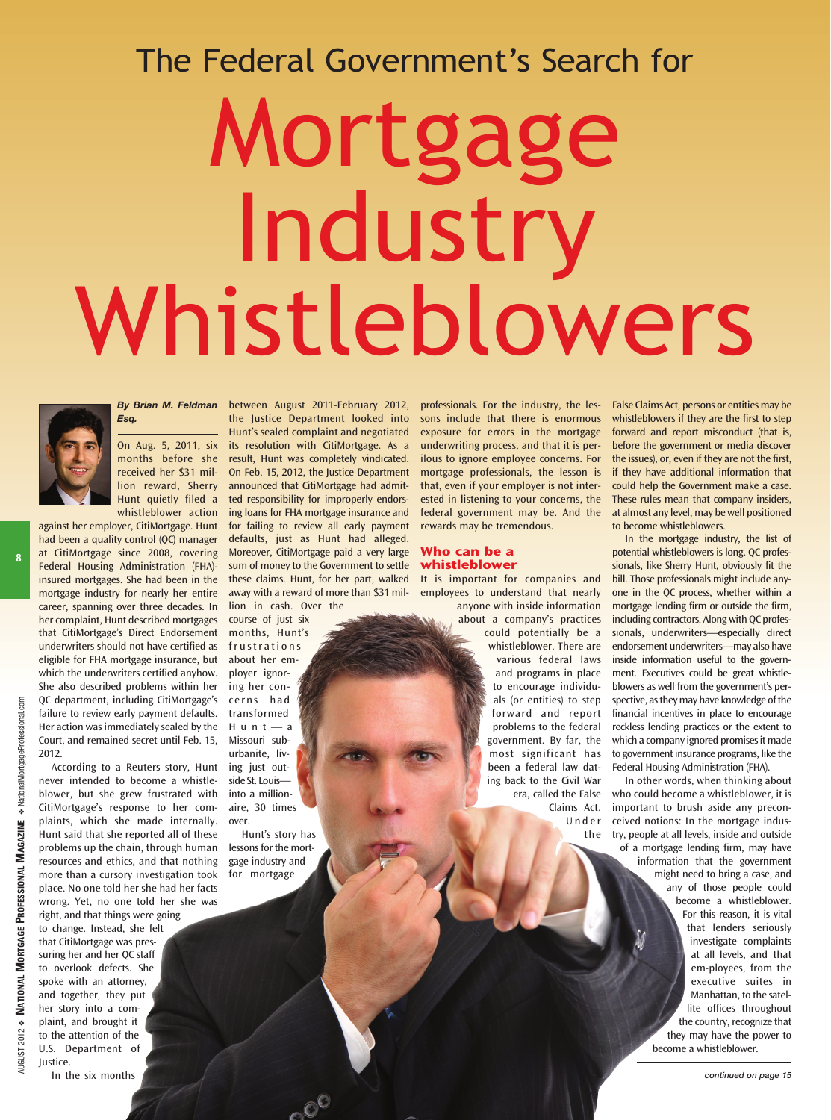### The Federal Government's Search for

# Mortgage Industry Whistleblowers



*Esq.*

On Aug. 5, 2011, six months before she received her \$31 million reward, Sherry Hunt quietly filed a whistleblower action

against her employer, CitiMortgage. Hunt had been a quality control (QC) manager at CitiMortgage since 2008, covering Federal Housing Administration (FHA) insured mortgages. She had been in the mortgage industry for nearly her entire career, spanning over three decades. In her complaint, Hunt described mortgages that CitiMortgage's Direct Endorsement underwriters should not have certified as eligible for FHA mortgage insurance, but which the underwriters certified anyhow. She also described problems within her QC department, including CitiMortgage's failure to review early payment defaults. Her action was immediately sealed by the Court, and remained secret until Feb. 15, 2012.

According to a Reuters story, Hunt never intended to become a whistleblower, but she grew frustrated with CitiMortgage's response to her complaints, which she made internally. Hunt said that she reported all of these problems up the chain, through human resources and ethics, and that nothing more than a cursory investigation took place. No one told her she had her facts wrong. Yet, no one told her she was right, and that things were going to change. Instead, she felt that CitiMortgage was pressuring her and her QC staff to overlook defects. She

spoke with an attorney, and together, they put her story into a complaint, and brought it to the attention of the U.S. Department of Justice. In the six months

*By Brian M. Feldman* between August 2011-February 2012, the Justice Department looked into Hunt's sealed complaint and negotiated its resolution with CitiMortgage. As a result, Hunt was completely vindicated. On Feb. 15, 2012, the Justice Department announced that CitiMortgage had admitted responsibility for improperly endorsing loans for FHA mortgage insurance and for failing to review all early payment defaults, just as Hunt had alleged. Moreover, CitiMortgage paid a very large sum of money to the Government to settle these claims. Hunt, for her part, walked away with a reward of more than \$31 million in cash. Over the

course of just six months, Hunt's frustrations about her employer ignoring her concerns had transformed Hunt—a Missouri suburbanite, living just outside St. Louis into a millionaire, 30 times

over. Hunt's story has

lessons for the mortgage industry and for mortgage

professionals. For the industry, the lessons include that there is enormous exposure for errors in the mortgage underwriting process, and that it is perilous to ignore employee concerns. For mortgage professionals, the lesson is that, even if your employer is not interested in listening to your concerns, the federal government may be. And the rewards may be tremendous.

#### **Who can be a whistleblower**

It is important for companies and employees to understand that nearly anyone with inside information

about a company's practices could potentially be a whistleblower. There are various federal laws and programs in place to encourage individuals (or entities) to step forward and report problems to the federal government. By far, the most significant has been a federal law dating back to the Civil War era, called the False

Claims Act. Under the

False Claims Act, persons or entities may be whistleblowers if they are the first to step forward and report misconduct (that is, before the government or media discover the issues), or, even if they are not the first, if they have additional information that could help the Government make a case. These rules mean that company insiders, at almost any level, may be well positioned to become whistleblowers.

In the mortgage industry, the list of potential whistleblowers is long. QC professionals, like Sherry Hunt, obviously fit the bill. Those professionals might include anyone in the QC process, whether within a mortgage lending firm or outside the firm, including contractors. Along with QC professionals, underwriters—especially direct endorsement underwriters—may also have inside information useful to the government. Executives could be great whistleblowers as well from the government's perspective, as they may have knowledge of the financial incentives in place to encourage reckless lending practices or the extent to which a company ignored promises it made to government insurance programs, like the Federal Housing Administration (FHA).

In other words, when thinking about who could become a whistleblower, it is important to brush aside any preconceived notions: In the mortgage industry, people at all levels, inside and outside of a mortgage lending firm, may have information that the government might need to bring a case, and any of those people could become a whistleblower. For this reason, it is vital that lenders seriously investigate complaints at all levels, and that em-ployees, from the executive suites in Manhattan, to the satellite offices throughout the country, recognize that they may have the power to become a whistleblower.

AUGUST 2012 **NUGUST 2012 ❖** 

**NATIONAL**